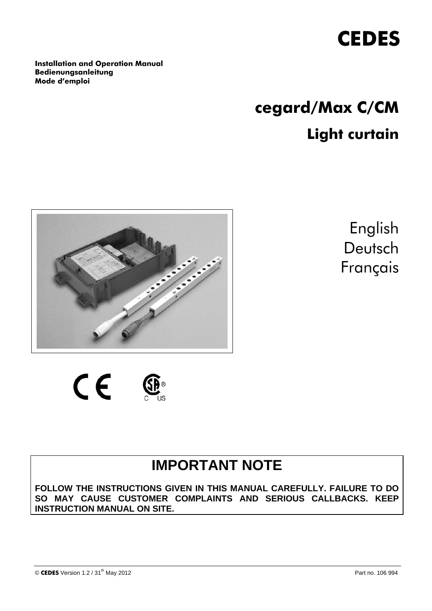

**Installation and Operation Manual Bedienungsanleitung Mode d'emploi** 

# **cegard/Max C/CM Light curtain**



English Deutsch Français

 $\epsilon$ 

## **IMPORTANT NOTE**

**FOLLOW THE INSTRUCTIONS GIVEN IN THIS MANUAL CAREFULLY. FAILURE TO DO SO MAY CAUSE CUSTOMER COMPLAINTS AND SERIOUS CALLBACKS. KEEP INSTRUCTION MANUAL ON SITE.**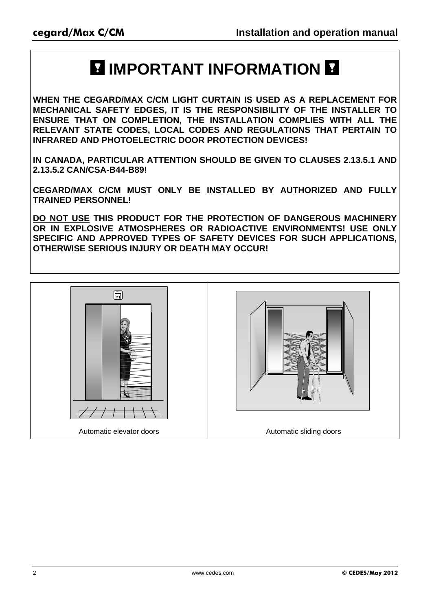## **E IMPORTANT INFORMATION E**

**WHEN THE CEGARD/MAX C/CM LIGHT CURTAIN IS USED AS A REPLACEMENT FOR MECHANICAL SAFETY EDGES, IT IS THE RESPONSIBILITY OF THE INSTALLER TO ENSURE THAT ON COMPLETION, THE INSTALLATION COMPLIES WITH ALL THE RELEVANT STATE CODES, LOCAL CODES AND REGULATIONS THAT PERTAIN TO INFRARED AND PHOTOELECTRIC DOOR PROTECTION DEVICES!** 

**IN CANADA, PARTICULAR ATTENTION SHOULD BE GIVEN TO CLAUSES 2.13.5.1 AND 2.13.5.2 CAN/CSA-B44-B89!** 

**CEGARD/MAX C/CM MUST ONLY BE INSTALLED BY AUTHORIZED AND FULLY TRAINED PERSONNEL!** 

**DO NOT USE THIS PRODUCT FOR THE PROTECTION OF DANGEROUS MACHINERY OR IN EXPLOSIVE ATMOSPHERES OR RADIOACTIVE ENVIRONMENTS! USE ONLY SPECIFIC AND APPROVED TYPES OF SAFETY DEVICES FOR SUCH APPLICATIONS, OTHERWISE SERIOUS INJURY OR DEATH MAY OCCUR!** 

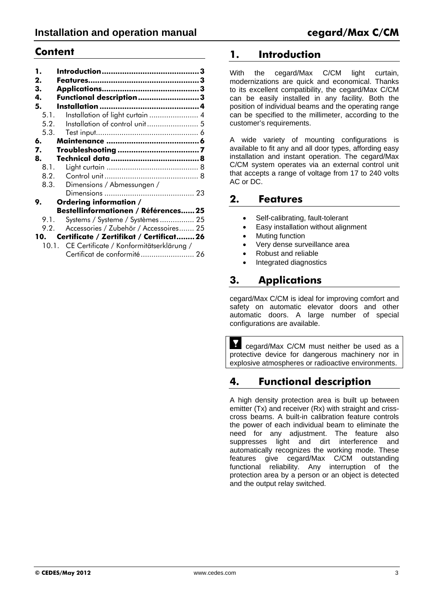### **Content**

| 1.<br>2. |                                                |
|----------|------------------------------------------------|
| 3.       |                                                |
| 4.       | Functional description3                        |
| 5.       |                                                |
|          | Installation of light curtain  4<br>5.1.       |
|          | 5.2.                                           |
|          | 5.3.                                           |
| 6.       |                                                |
| 7.       |                                                |
| 8.       |                                                |
|          |                                                |
|          | 8.2.                                           |
|          | Dimensions / Abmessungen /<br>8.3.             |
|          |                                                |
| 9.       | Ordering information /                         |
|          | Bestellinformationen / Références 25           |
|          | Systems / Systeme / Systèmes  25<br>9.1.       |
|          | Accessories / Zubehör / Accessoires 25<br>9.2. |
| 10.      | Certificate / Zertifikat / Certificat26        |
|          | 10.1. CE Certificate / Konformitätserklärung / |
|          | Certificat de conformité  26                   |

### **1. Introduction**

With the cegard/Max C/CM light curtain, modernizations are quick and economical. Thanks to its excellent compatibility, the cegard/Max C/CM can be easily installed in any facility. Both the position of individual beams and the operating range can be specified to the millimeter, according to the customer's requirements.

A wide variety of mounting configurations is available to fit any and all door types, affording easy installation and instant operation. The cegard/Max C/CM system operates via an external control unit that accepts a range of voltage from 17 to 240 volts AC or DC.

### **2. Features**

- Self-calibrating, fault-tolerant
- Easy installation without alignment
- Muting function
- Very dense surveillance area
- Robust and reliable
- Integrated diagnostics

### **3. Applications**

cegard/Max C/CM is ideal for improving comfort and safety on automatic elevator doors and other automatic doors. A large number of special configurations are available.

Y cegard/Max C/CM must neither be used as a protective device for dangerous machinery nor in explosive atmospheres or radioactive environments.

### **4. Functional description**

A high density protection area is built up between emitter (Tx) and receiver (Rx) with straight and crisscross beams. A built-in calibration feature controls the power of each individual beam to eliminate the need for any adjustment. The feature also suppresses light and dirt interference and automatically recognizes the working mode. These features give cegard/Max C/CM outstanding functional reliability. Any interruption of the protection area by a person or an object is detected and the output relay switched.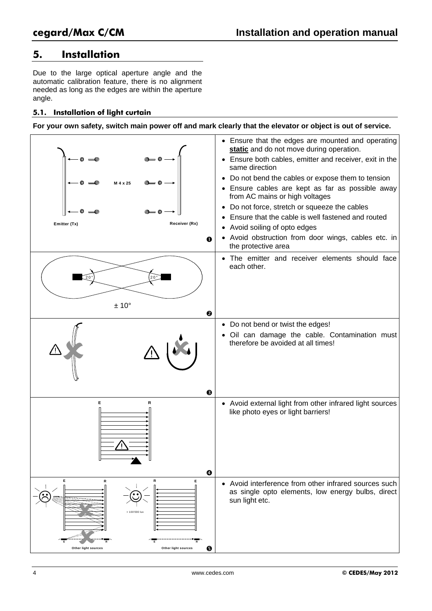### **5. Installation**

Due to the large optical aperture angle and the automatic calibration feature, there is no alignment needed as long as the edges are within the aperture angle.

#### **5.1. Installation of light curtain**

**For your own safety, switch main power off and mark clearly that the elevator or object is out of service.** 

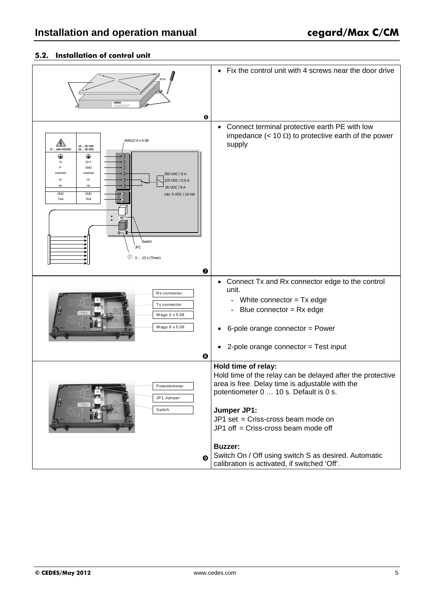### **5.2. Installation of control unit**

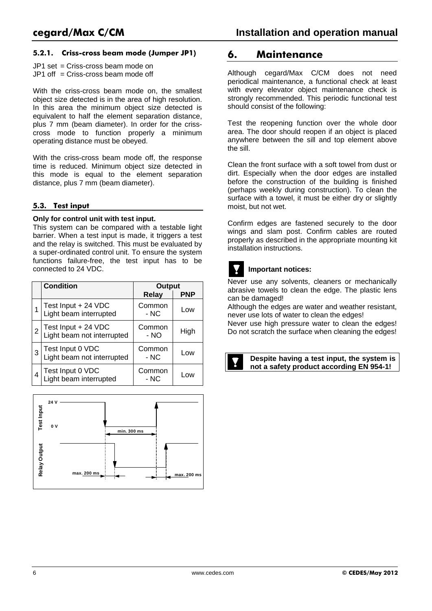#### **5.2.1. Criss-cross beam mode (Jumper JP1)**

JP1 set = Criss-cross beam mode on  $JPI$  off  $=$  Criss-cross beam mode off

With the criss-cross beam mode on, the smallest object size detected is in the area of high resolution. In this area the minimum object size detected is equivalent to half the element separation distance, plus 7 mm (beam diameter). In order for the crisscross mode to function properly a minimum operating distance must be obeyed.

With the criss-cross beam mode off, the response time is reduced. Minimum object size detected in this mode is equal to the element separation distance, plus 7 mm (beam diameter).

#### **5.3. Test input**

#### **Only for control unit with test input.**

This system can be compared with a testable light barrier. When a test input is made, it triggers a test and the relay is switched. This must be evaluated by a super-ordinated control unit. To ensure the system functions failure-free, the test input has to be connected to 24 VDC.

|   | <b>Condition</b>                                  | <b>Output</b>   |            |  |
|---|---------------------------------------------------|-----------------|------------|--|
|   |                                                   | <b>Relay</b>    | <b>PNP</b> |  |
|   | Test Input + 24 VDC<br>Light beam interrupted     | Common<br>- NC  | Low        |  |
| 2 | Test Input + 24 VDC<br>Light beam not interrupted | Common<br>- NO  | High       |  |
| 3 | Test Input 0 VDC<br>Light beam not interrupted    | Common<br>$-NC$ | Low        |  |
| 4 | Test Input 0 VDC<br>Light beam interrupted        | Common<br>- NC  | Low        |  |



### **6. Maintenance**

Although cegard/Max C/CM does not need periodical maintenance, a functional check at least with every elevator object maintenance check is strongly recommended. This periodic functional test should consist of the following:

Test the reopening function over the whole door area. The door should reopen if an object is placed anywhere between the sill and top element above the sill.

Clean the front surface with a soft towel from dust or dirt. Especially when the door edges are installed before the construction of the building is finished (perhaps weekly during construction). To clean the surface with a towel, it must be either dry or slightly moist, but not wet.

Confirm edges are fastened securely to the door wings and slam post. Confirm cables are routed properly as described in the appropriate mounting kit installation instructions.

#### **Important notices:**

Never use any solvents, cleaners or mechanically abrasive towels to clean the edge. The plastic lens can be damaged!

Although the edges are water and weather resistant, never use lots of water to clean the edges!

Never use high pressure water to clean the edges! Do not scratch the surface when cleaning the edges!

**Despite having a test input, the system is not a safety product according EN 954-1!**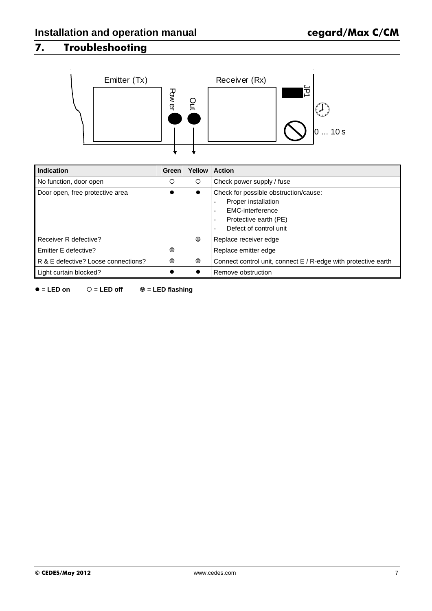### **7. Troubleshooting**



| Indication                          | Green | Yellow                                                                                                                                                                       | <b>Action</b>                                                  |  |
|-------------------------------------|-------|------------------------------------------------------------------------------------------------------------------------------------------------------------------------------|----------------------------------------------------------------|--|
| No function, door open              | O     | O                                                                                                                                                                            | Check power supply / fuse                                      |  |
| Door open, free protective area     |       | Check for possible obstruction/cause:<br>$\bullet$<br>Proper installation<br>EMC-interference<br>Protective earth (PE)<br>$\overline{\phantom{a}}$<br>Defect of control unit |                                                                |  |
| Receiver R defective?               |       | ◉                                                                                                                                                                            | Replace receiver edge                                          |  |
| Emitter E defective?                | ◉     |                                                                                                                                                                              | Replace emitter edge                                           |  |
| R & E defective? Loose connections? | ◉     | ◉                                                                                                                                                                            | Connect control unit, connect E / R-edge with protective earth |  |
| Light curtain blocked?              |       |                                                                                                                                                                              | Remove obstruction                                             |  |

 $\bullet$  = **LED on**  $\circ$  = **LED off**  $\circledcirc$  = **LED flashing**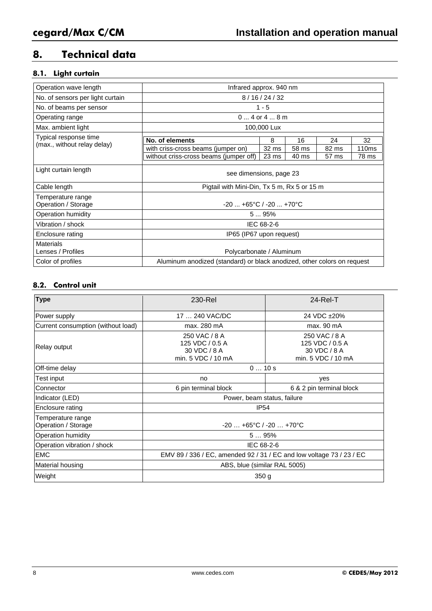### **8. Technical data**

### **8.1. Light curtain**

| Operation wave length                                | Infrared approx. 940 nm                                                 |                                               |       |       |                   |  |  |
|------------------------------------------------------|-------------------------------------------------------------------------|-----------------------------------------------|-------|-------|-------------------|--|--|
| No. of sensors per light curtain                     |                                                                         | 8/16/24/32                                    |       |       |                   |  |  |
| No. of beams per sensor                              |                                                                         | $1 - 5$                                       |       |       |                   |  |  |
| Operating range                                      |                                                                         | $04$ or $48$ m                                |       |       |                   |  |  |
| Max. ambient light                                   |                                                                         | 100,000 Lux                                   |       |       |                   |  |  |
| Typical response time<br>(max., without relay delay) | No. of elements                                                         | 8                                             | 16    | 24    | 32                |  |  |
|                                                      | with criss-cross beams (jumper on)                                      | 32 ms                                         | 58 ms | 82 ms | 110 <sub>ms</sub> |  |  |
|                                                      | without criss-cross beams (jumper off)                                  | 23 <sub>ms</sub>                              | 40 ms | 57 ms | 78 ms             |  |  |
| Light curtain length                                 | see dimensions, page 23                                                 |                                               |       |       |                   |  |  |
| Cable length                                         | Pigtail with Mini-Din, Tx 5 m, Rx 5 or 15 m                             |                                               |       |       |                   |  |  |
| Temperature range<br>Operation / Storage             |                                                                         | $-20$ $+65^{\circ}$ C / $-20$ $+70^{\circ}$ C |       |       |                   |  |  |
| Operation humidity                                   | 595%                                                                    |                                               |       |       |                   |  |  |
| Vibration / shock                                    | IEC 68-2-6                                                              |                                               |       |       |                   |  |  |
| Enclosure rating                                     | IP65 (IP67 upon request)                                                |                                               |       |       |                   |  |  |
| <b>Materials</b><br>Lenses / Profiles                | Polycarbonate / Aluminum                                                |                                               |       |       |                   |  |  |
| Color of profiles                                    | Aluminum anodized (standard) or black anodized, other colors on request |                                               |       |       |                   |  |  |

### **8.2. Control unit**

| <b>Type</b>                              | 230-Rel                                                                | $24$ -Rel-T                                                            |  |  |  |
|------------------------------------------|------------------------------------------------------------------------|------------------------------------------------------------------------|--|--|--|
| Power supply                             | 17  240 VAC/DC                                                         | 24 VDC ±20%                                                            |  |  |  |
| Current consumption (without load)       | max. 280 mA                                                            | max. 90 mA                                                             |  |  |  |
| <b>Relay output</b>                      | 250 VAC / 8 A<br>125 VDC / 0.5 A<br>30 VDC / 8 A<br>min. 5 VDC / 10 mA | 250 VAC / 8 A<br>125 VDC / 0.5 A<br>30 VDC / 8 A<br>min. 5 VDC / 10 mA |  |  |  |
| Off-time delay                           | 010s                                                                   |                                                                        |  |  |  |
| Test input                               | no                                                                     | yes                                                                    |  |  |  |
| Connector                                | 6 pin terminal block                                                   | 6 & 2 pin terminal block                                               |  |  |  |
| Indicator (LED)                          | Power, beam status, failure                                            |                                                                        |  |  |  |
| Enclosure rating                         | <b>IP54</b>                                                            |                                                                        |  |  |  |
| Temperature range<br>Operation / Storage | $-20+65°C/ -20+70°C$                                                   |                                                                        |  |  |  |
| Operation humidity                       | 595%                                                                   |                                                                        |  |  |  |
| Operation vibration / shock              |                                                                        | IEC 68-2-6                                                             |  |  |  |
| <b>EMC</b>                               | EMV 89 / 336 / EC, amended 92 / 31 / EC and low voltage 73 / 23 / EC   |                                                                        |  |  |  |
| Material housing                         | ABS, blue (similar RAL 5005)                                           |                                                                        |  |  |  |
| Weight                                   | 350 <sub>g</sub>                                                       |                                                                        |  |  |  |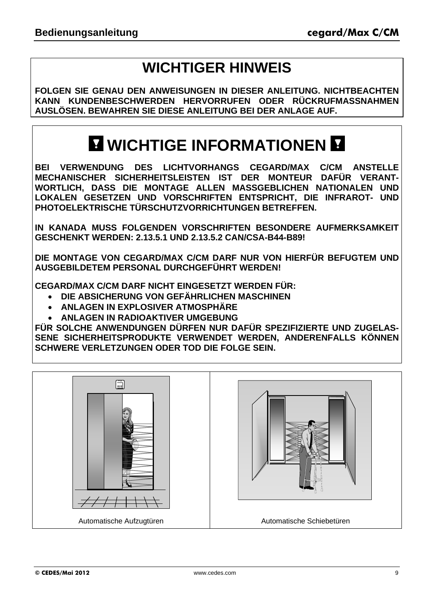## **WICHTIGER HINWEIS**

**FOLGEN SIE GENAU DEN ANWEISUNGEN IN DIESER ANLEITUNG. NICHTBEACHTEN KANN KUNDENBESCHWERDEN HERVORRUFEN ODER RÜCKRUFMASSNAHMEN AUSLÖSEN. BEWAHREN SIE DIESE ANLEITUNG BEI DER ANLAGE AUF.** 

## **MICHTIGE INFORMATIONEN M**

**BEI VERWENDUNG DES LICHTVORHANGS CEGARD/MAX C/CM ANSTELLE MECHANISCHER SICHERHEITSLEISTEN IST DER MONTEUR DAFÜR VERANT-WORTLICH, DASS DIE MONTAGE ALLEN MASSGEBLICHEN NATIONALEN UND LOKALEN GESETZEN UND VORSCHRIFTEN ENTSPRICHT, DIE INFRAROT- UND PHOTOELEKTRISCHE TÜRSCHUTZVORRICHTUNGEN BETREFFEN.** 

**IN KANADA MUSS FOLGENDEN VORSCHRIFTEN BESONDERE AUFMERKSAMKEIT GESCHENKT WERDEN: 2.13.5.1 UND 2.13.5.2 CAN/CSA-B44-B89!** 

**DIE MONTAGE VON CEGARD/MAX C/CM DARF NUR VON HIERFÜR BEFUGTEM UND AUSGEBILDETEM PERSONAL DURCHGEFÜHRT WERDEN!** 

**CEGARD/MAX C/CM DARF NICHT EINGESETZT WERDEN FÜR:** 

- **DIE ABSICHERUNG VON GEFÄHRLICHEN MASCHINEN**
- **ANLAGEN IN EXPLOSIVER ATMOSPHÄRE**
- **ANLAGEN IN RADIOAKTIVER UMGEBUNG**

**FÜR SOLCHE ANWENDUNGEN DÜRFEN NUR DAFÜR SPEZIFIZIERTE UND ZUGELAS-SENE SICHERHEITSPRODUKTE VERWENDET WERDEN, ANDERENFALLS KÖNNEN SCHWERE VERLETZUNGEN ODER TOD DIE FOLGE SEIN.** 

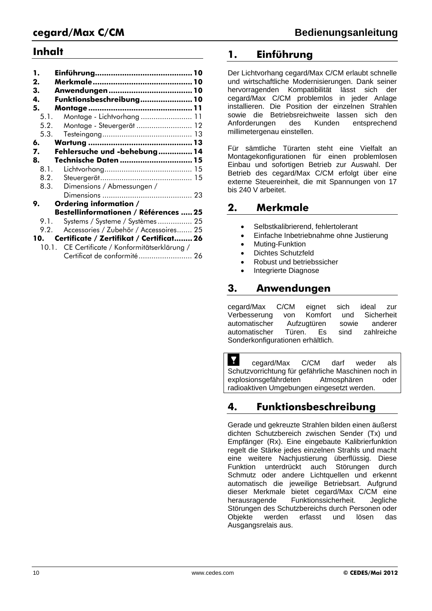### **Inhalt**

| 1.<br>2. |                                                |  |
|----------|------------------------------------------------|--|
| З.       |                                                |  |
| 4.       | Funktionsbeschreibung 10                       |  |
| 5.       |                                                |  |
| 5.1.     | Montage - Lichtvorhang  11                     |  |
| 5.2.     | Montage - Steuergerät  12                      |  |
| 5.3.     |                                                |  |
| 6.       |                                                |  |
| 7.       | Fehlersuche und -behebung  14                  |  |
| 8.       | Technische Daten  15                           |  |
| 8.1.     |                                                |  |
| 8.2.     |                                                |  |
| 8.3.     | Dimensions / Abmessungen /                     |  |
|          |                                                |  |
| 9.       | Ordering information /                         |  |
|          | Bestellinformationen / Références  25          |  |
| 9.1.     | Systems / Systeme / Systèmes  25               |  |
| 9.2.     | Accessories / Zubehör / Accessoires 25         |  |
| 10.      | Certificate / Zertifikat / Certificat 26       |  |
|          | 10.1. CE Certificate / Konformitätserklärung / |  |
|          | Certificat de conformité 26                    |  |

### **1. Einführung**

Der Lichtvorhang cegard/Max C/CM erlaubt schnelle und wirtschaftliche Modernisierungen. Dank seiner hervorragenden Kompatibilität lässt sich der cegard/Max C/CM problemlos in jeder Anlage installieren. Die Position der einzelnen Strahlen sowie die Betriebsreichweite lassen sich den<br>Anforderungen des Kunden entsprechend Anforderungen millimetergenau einstellen.

Für sämtliche Türarten steht eine Vielfalt an Montagekonfigurationen für einen problemlosen Einbau und sofortigen Betrieb zur Auswahl. Der Betrieb des cegard/Max C/CM erfolgt über eine externe Steuereinheit, die mit Spannungen von 17 bis 240 V arbeitet.

### **2. Merkmale**

- Selbstkalibrierend, fehlertolerant
- Einfache Inbetriebnahme ohne Justierung
- Muting-Funktion
- Dichtes Schutzfeld
- Robust und betriebssicher
- Integrierte Diagnose

### **3. Anwendungen**

cegard/Max C/CM eignet sich ideal zur Verbesserung von Komfort und Sicherheit automatischer Aufzugtüren sowie anderer automatischer Türen. Es sind zahlreiche Sonderkonfigurationen erhältlich.

Y cegard/Max C/CM darf weder als Schutzvorrichtung für gefährliche Maschinen noch in explosionsgefährdeten Atmosphären oder radioaktiven Umgebungen eingesetzt werden.

### **4. Funktionsbeschreibung**

Gerade und gekreuzte Strahlen bilden einen äußerst dichten Schutzbereich zwischen Sender (Tx) und Empfänger (Rx). Eine eingebaute Kalibrierfunktion regelt die Stärke jedes einzelnen Strahls und macht eine weitere Nachiustierung überflüssig. Diese Funktion unterdrückt auch Störungen durch Schmutz oder andere Lichtquellen und erkennt automatisch die jeweilige Betriebsart. Aufgrund dieser Merkmale bietet cegard/Max C/CM eine herausragende Funktionssicherheit. Jegliche Störungen des Schutzbereichs durch Personen oder Objekte werden erfasst und lösen das Ausgangsrelais aus.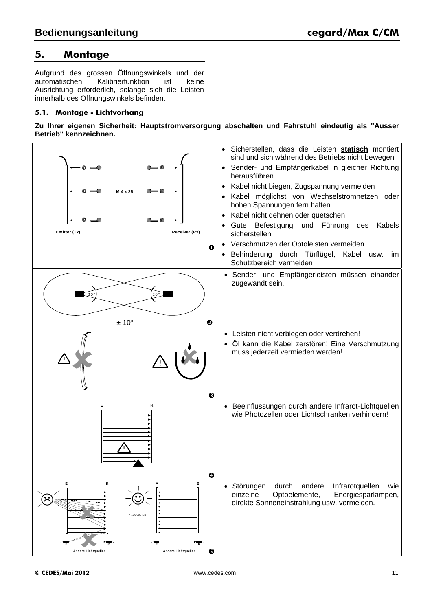### **5. Montage**

Aufgrund des grossen Öffnungswinkels und der automatischen Kalibrierfunktion ist keine Ausrichtung erforderlich, solange sich die Leisten innerhalb des Öffnungswinkels befinden.

#### **5.1. Montage - Lichtvorhang**

**Zu Ihrer eigenen Sicherheit: Hauptstromversorgung abschalten und Fahrstuhl eindeutig als "Ausser Betrieb" kennzeichnen.** 

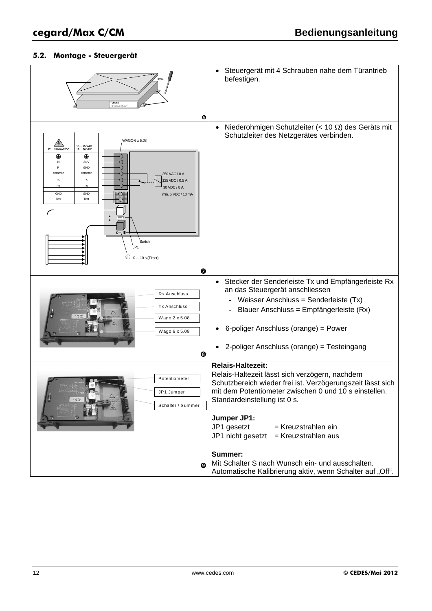### **5.2. Montage - Steuergerät**

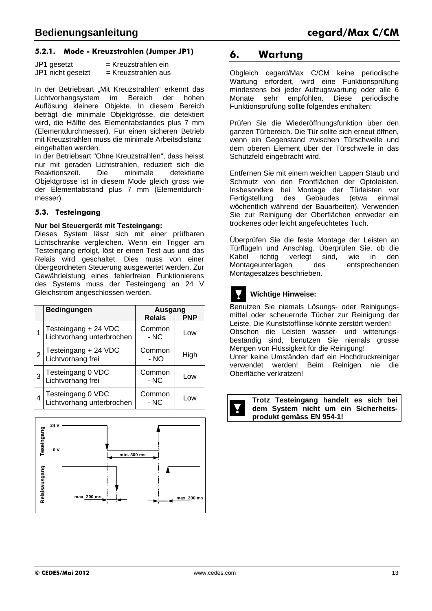#### **5.2.1. Mode - Kreuzstrahlen (Jumper JP1)**

| JP1 gesetzt       | = Kreuzstrahlen ein   |
|-------------------|-----------------------|
| JP1 nicht gesetzt | $=$ Kreuzstrahlen aus |

In der Betriebsart "Mit Kreuzstrahlen" erkennt das Lichtvorhangsystem im Bereich der hohen Auflösung kleinere Objekte. In diesem Bereich beträgt die minimale Objektgrösse, die detektiert wird, die Hälfte des Elementabstandes plus 7 mm (Elementdurchmesser). Für einen sicheren Betrieb mit Kreuzstrahlen muss die minimale Arbeitsdistanz eingehalten werden.

In der Betriebsart "Ohne Kreuzstrahlen", dass heisst nur mit geraden Lichtstrahlen, reduziert sich die Reaktionszeit. Die minimale detektierte Objektgrösse ist in diesem Mode gleich gross wie der Elementabstand plus 7 mm (Elementdurchmesser).

#### **5.3. Testeingang**

#### **Nur bei Steuergerät mit Testeingang:**

Dieses System lässt sich mit einer prüfbaren Lichtschranke vergleichen. Wenn ein Trigger am Testeingang erfolgt, löst er einen Test aus und das Relais wird geschaltet. Dies muss von einer übergeordneten Steuerung ausgewertet werden. Zur Gewährleistung eines fehlerfreien Funktionierens des Systems muss der Testeingang an 24 V Gleichstrom angeschlossen werden.

|   | <b>Bedingungen</b>                                | Ausgang         |            |  |
|---|---------------------------------------------------|-----------------|------------|--|
|   |                                                   | <b>Relais</b>   | <b>PNP</b> |  |
|   | Testeingang + 24 VDC<br>Lichtvorhang unterbrochen | Common<br>- NC  | Low        |  |
| 2 | Testeingang + 24 VDC<br>Lichtvorhang frei         | Common<br>- NO  | High       |  |
| 3 | Testeingang 0 VDC<br>Lichtvorhang frei            | Common<br>$-NC$ | Low        |  |
| 4 | Testeingang 0 VDC<br>Lichtvorhang unterbrochen    | Common<br>- NC  | Low        |  |



### **6. Wartung**

Obgleich cegard/Max C/CM keine periodische Wartung erfordert, wird eine Funktionsprüfung mindestens bei jeder Aufzugswartung oder alle 6<br>Monate sehr empfohlen. Diese periodische Monate sehr empfohlen. Diese Funktionsprüfung sollte folgendes enthalten:

Prüfen Sie die Wiederöffnungsfunktion über den ganzen Türbereich. Die Tür sollte sich erneut öffnen, wenn ein Gegenstand zwischen Türschwelle und dem oberen Element über der Türschwelle in das Schutzfeld eingebracht wird.

Entfernen Sie mit einem weichen Lappen Staub und Schmutz von den Frontflächen der Optoleisten. Insbesondere bei Montage der Türleisten vor Fertigstellung des Gebäudes (etwa einmal wöchentlich während der Bauarbeiten). Verwenden Sie zur Reinigung der Oberflächen entweder ein trockenes oder leicht angefeuchtetes Tuch.

Überprüfen Sie die feste Montage der Leisten an Türflügeln und Anschlag. Überprüfen Sie, ob die Kabel richtig verlegt sind, wie in den Montageunterlagen des entsprechenden Montagesatzes beschrieben.

### **Wichtige Hinweise:**

Benutzen Sie niemals Lösungs- oder Reinigungsmittel oder scheuernde Tücher zur Reinigung der Leiste. Die Kunststofflinse könnte zerstört werden! Obschon die Leisten wasser- und witterungsbeständig sind, benutzen Sie niemals grosse Mengen von Flüssigkeit für die Reinigung! Unter keine Umständen darf ein Hochdruckreiniger verwendet werden! Beim Reinigen nie die Oberfläche verkratzen!

**Trotz Testeingang handelt es sich bei dem System nicht um ein Sicherheitsprodukt gemäss EN 954-1!**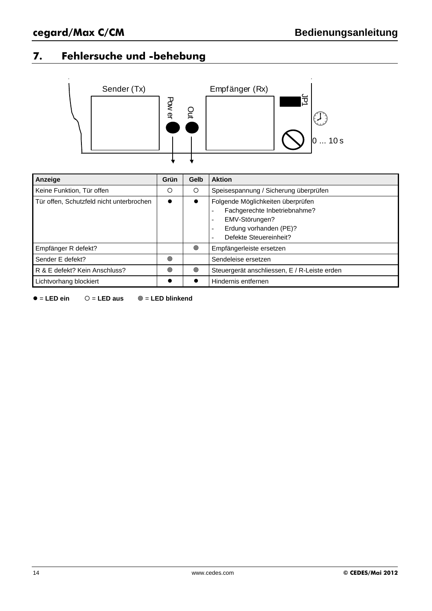### **7. Fehlersuche und -behebung**



| Anzeige                                  | Grün | Gelb                                                                                                                                                                                                         | <b>Aktion</b>                                |
|------------------------------------------|------|--------------------------------------------------------------------------------------------------------------------------------------------------------------------------------------------------------------|----------------------------------------------|
| Keine Funktion, Tür offen                | O    | O                                                                                                                                                                                                            | Speisespannung / Sicherung überprüfen        |
| Tür offen, Schutzfeld nicht unterbrochen |      | Folgende Möglichkeiten überprüfen<br>$\bullet$<br>Fachgerechte Inbetriebnahme?<br>EMV-Störungen?<br>$\overline{\phantom{a}}$<br>Erdung vorhanden (PE)?<br>$\overline{\phantom{a}}$<br>Defekte Steuereinheit? |                                              |
| Empfänger R defekt?                      |      | ◉                                                                                                                                                                                                            | Empfängerleiste ersetzen                     |
| Sender E defekt?                         | ◎    |                                                                                                                                                                                                              | Sendeleise ersetzen                          |
| R & E defekt? Kein Anschluss?            | ◉    | ◉                                                                                                                                                                                                            | Steuergerät anschliessen, E / R-Leiste erden |
| Lichtvorhang blockiert                   |      |                                                                                                                                                                                                              | Hindernis entfernen                          |

= **LED ein** = **LED aus** = **LED blinkend**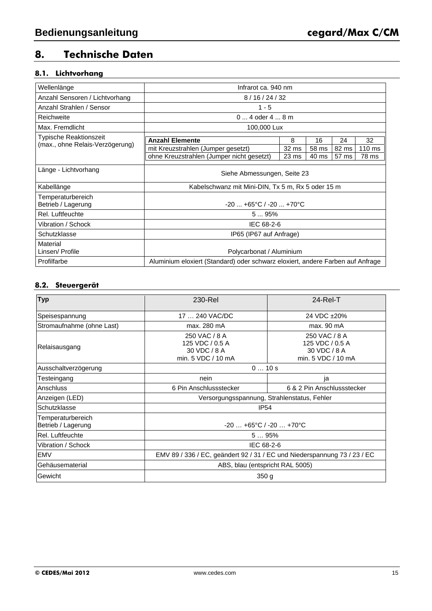### **8. Technische Daten**

### **8.1. Lichtvorhang**

| Wellenlänge                                                      | Infrarot ca. 940 nm                                                             |                           |                |                |                           |  |
|------------------------------------------------------------------|---------------------------------------------------------------------------------|---------------------------|----------------|----------------|---------------------------|--|
| Anzahl Sensoren / Lichtvorhang                                   | 8/16/24/32                                                                      |                           |                |                |                           |  |
| Anzahl Strahlen / Sensor                                         | $1 - 5$                                                                         |                           |                |                |                           |  |
| Reichweite                                                       | $04$ oder $48$ m                                                                |                           |                |                |                           |  |
| Max. Fremdlicht                                                  | 100,000 Lux                                                                     |                           |                |                |                           |  |
| <b>Typische Reaktionszeit</b><br>(max., ohne Relais-Verzögerung) | <b>Anzahl Elemente</b>                                                          | 8                         | 16             | 24             | 32                        |  |
|                                                                  | mit Kreuzstrahlen (Jumper gesetzt)<br>ohne Kreuzstrahlen (Jumper nicht gesetzt) | 32 ms<br>23 <sub>ms</sub> | 58 ms<br>40 ms | 82 ms<br>57 ms | $110 \text{ ms}$<br>78 ms |  |
| Länge - Lichtvorhang                                             | Siehe Abmessungen, Seite 23                                                     |                           |                |                |                           |  |
| Kabellänge                                                       | Kabelschwanz mit Mini-DIN, Tx 5 m, Rx 5 oder 15 m                               |                           |                |                |                           |  |
| Temperaturbereich<br>Betrieb / Lagerung                          | $-20$ $+65^{\circ}$ C / $-20$ $+70^{\circ}$ C                                   |                           |                |                |                           |  |
| Rel. Luftfeuchte                                                 | 595%                                                                            |                           |                |                |                           |  |
| Vibration / Schock                                               | IEC 68-2-6                                                                      |                           |                |                |                           |  |
| Schutzklasse                                                     | IP65 (IP67 auf Anfrage)                                                         |                           |                |                |                           |  |
| Material<br>Linsen/ Profile                                      | Polycarbonat / Aluminium                                                        |                           |                |                |                           |  |
| Profilfarbe                                                      | Aluminium eloxiert (Standard) oder schwarz eloxiert, andere Farben auf Anfrage  |                           |                |                |                           |  |

#### **8.2. Steuergerät**

| <b>Typ</b>                                         | 230-Rel                                                                  | $24$ -Rel-T                                                            |  |  |  |
|----------------------------------------------------|--------------------------------------------------------------------------|------------------------------------------------------------------------|--|--|--|
| Speisespannung                                     | 17  240 VAC/DC                                                           | 24 VDC ±20%                                                            |  |  |  |
| Stromaufnahme (ohne Last)                          | max. 280 mA                                                              | max. 90 mA                                                             |  |  |  |
| Relaisausgang                                      | 250 VAC / 8 A<br>125 VDC / 0.5 A<br>30 VDC / 8 A<br>min. 5 VDC / 10 mA   | 250 VAC / 8 A<br>125 VDC / 0.5 A<br>30 VDC / 8 A<br>min. 5 VDC / 10 mA |  |  |  |
| Ausschaltverzögerung                               | 010s                                                                     |                                                                        |  |  |  |
| Testeingang                                        | nein                                                                     | ja                                                                     |  |  |  |
| Anschluss                                          | 6 Pin Anschlussstecker                                                   | 6 & 2 Pin Anschlussstecker                                             |  |  |  |
| Anzeigen (LED)                                     | Versorgungsspannung, Strahlenstatus, Fehler                              |                                                                        |  |  |  |
| Schutzklasse                                       | <b>IP54</b>                                                              |                                                                        |  |  |  |
| Temperaturbereich<br>Betrieb / Lagerung            | $-20+65°C/ -20+70°C$                                                     |                                                                        |  |  |  |
| Rel. Luftfeuchte                                   | 595%                                                                     |                                                                        |  |  |  |
| Vibration / Schock                                 | IEC 68-2-6                                                               |                                                                        |  |  |  |
| <b>EMV</b>                                         | EMV 89 / 336 / EC, geändert 92 / 31 / EC und Niederspannung 73 / 23 / EC |                                                                        |  |  |  |
| Gehäusematerial<br>ABS, blau (entspricht RAL 5005) |                                                                          |                                                                        |  |  |  |
| Gewicht                                            | 350 <sub>g</sub>                                                         |                                                                        |  |  |  |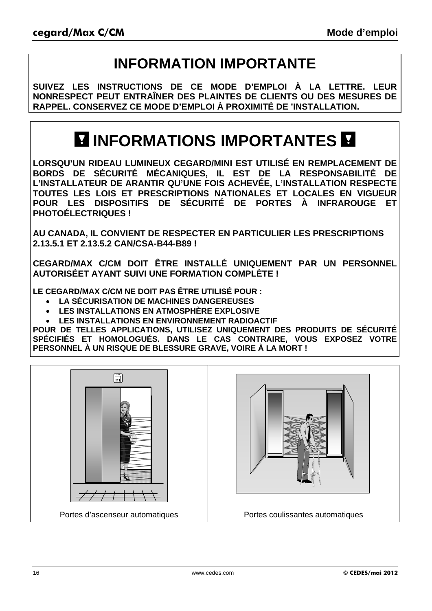## **INFORMATION IMPORTANTE**

**SUIVEZ LES INSTRUCTIONS DE CE MODE D'EMPLOI À LA LETTRE. LEUR NONRESPECT PEUT ENTRAÎNER DES PLAINTES DE CLIENTS OU DES MESURES DE RAPPEL. CONSERVEZ CE MODE D'EMPLOI À PROXIMITÉ DE 'INSTALLATION.**

## **INFORMATIONS IMPORTANTES**

**LORSQU'UN RIDEAU LUMINEUX CEGARD/MINI EST UTILISÉ EN REMPLACEMENT DE BORDS DE SÉCURITÉ MÉCANIQUES, IL EST DE LA RESPONSABILITÉ DE L'INSTALLATEUR DE ARANTIR QU'UNE FOIS ACHEVÉE, L'INSTALLATION RESPECTE TOUTES LES LOIS ET PRESCRIPTIONS NATIONALES ET LOCALES EN VIGUEUR POUR LES DISPOSITIFS DE SÉCURITÉ DE PORTES À INFRAROUGE ET PHOTOÉLECTRIQUES !** 

**AU CANADA, IL CONVIENT DE RESPECTER EN PARTICULIER LES PRESCRIPTIONS 2.13.5.1 ET 2.13.5.2 CAN/CSA-B44-B89 !** 

**CEGARD/MAX C/CM DOIT ÊTRE INSTALLÉ UNIQUEMENT PAR UN PERSONNEL AUTORISÉET AYANT SUIVI UNE FORMATION COMPLÈTE !** 

**LE CEGARD/MAX C/CM NE DOIT PAS ÊTRE UTILISÉ POUR :** 

- **LA SÉCURISATION DE MACHINES DANGEREUSES**
- **LES INSTALLATIONS EN ATMOSPHÈRE EXPLOSIVE**
- **LES INSTALLATIONS EN ENVIRONNEMENT RADIOACTIF**

**POUR DE TELLES APPLICATIONS, UTILISEZ UNIQUEMENT DES PRODUITS DE SÉCURITÉ SPÉCIFIÉS ET HOMOLOGUÉS. DANS LE CAS CONTRAIRE, VOUS EXPOSEZ VOTRE PERSONNEL À UN RISQUE DE BLESSURE GRAVE, VOIRE À LA MORT !**



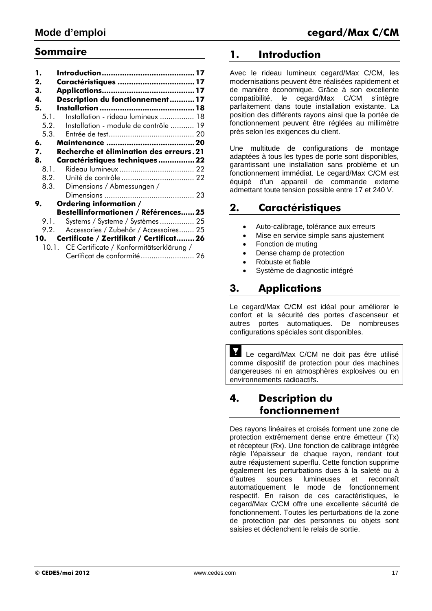### **Sommaire**

| 1.   |                                                |
|------|------------------------------------------------|
| 2.   | Caractéristiques  17                           |
| 3.   |                                                |
| 4.   | Description du fonctionnement 17               |
| 5.   |                                                |
| 5.1. | Installation - rideau lumineux  18             |
| 5.2. | Installation - module de contrôle  19          |
| 5.3. |                                                |
| 6.   |                                                |
| 7.   | Recherche et élimination des erreurs. 21       |
| 8.   | Caractéristiques techniques  22                |
| 8.1. |                                                |
| 8.2. |                                                |
| 8.3. | Dimensions / Abmessungen /                     |
|      |                                                |
| 9.   | Ordering information /                         |
|      | Bestellinformationen / Références25            |
| 9.1. | Systems / Systeme / Systèmes  25               |
| 9.2. | Accessories / Zubehör / Accessoires 25         |
| 10.  | Certificate / Zertifikat / Certificat 26       |
|      | 10.1. CE Certificate / Konformitätserklärung / |
|      | Certificat de conformité  26                   |

### **1. Introduction**

Avec le rideau lumineux cegard/Max C/CM, les modernisations peuvent être réalisées rapidement et de manière économique. Grâce à son excellente compatibilité, le cegard/Max C/CM s'intègre parfaitement dans toute installation existante. La position des différents rayons ainsi que la portée de fonctionnement peuvent être réglées au millimètre près selon les exigences du client.

Une multitude de configurations de montage adaptées à tous les types de porte sont disponibles, garantissant une installation sans problème et un fonctionnement immédiat. Le cegard/Max C/CM est équipé d'un appareil de commande externe admettant toute tension possible entre 17 et 240 V.

### **2. Caractéristiques**

- Auto-calibrage, tolérance aux erreurs
- Mise en service simple sans ajustement
- Fonction de muting
- Dense champ de protection
- Robuste et fiable
- Système de diagnostic intégré

### **3. Applications**

Le cegard/Max C/CM est idéal pour améliorer le confort et la sécurité des portes d'ascenseur et autres portes automatiques. De nombreuses configurations spéciales sont disponibles.

Y Le cegard/Max C/CM ne doit pas être utilisé comme dispositif de protection pour des machines dangereuses ni en atmosphères explosives ou en environnements radioactifs.

### **4. Description du fonctionnement**

Des rayons linéaires et croisés forment une zone de protection extrêmement dense entre émetteur (Tx) et récepteur (Rx). Une fonction de calibrage intégrée règle l'épaisseur de chaque rayon, rendant tout autre réajustement superflu. Cette fonction supprime également les perturbations dues à la saleté ou à d'autres sources lumineuses et reconnaît automatiquement le mode de fonctionnement respectif. En raison de ces caractéristiques, le cegard/Max C/CM offre une excellente sécurité de fonctionnement. Toutes les perturbations de la zone de protection par des personnes ou objets sont saisies et déclenchent le relais de sortie.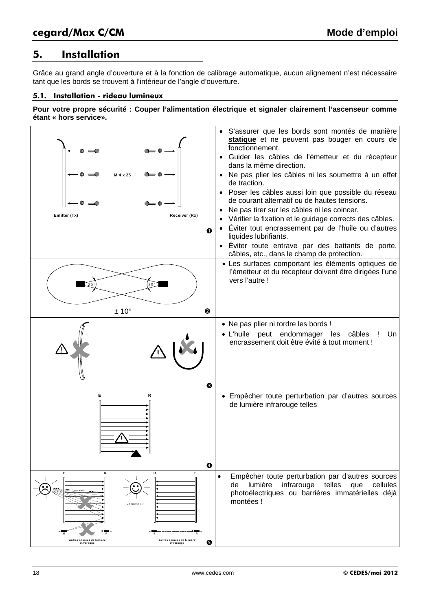### **5. Installation**

Grâce au grand angle d'ouverture et à la fonction de calibrage automatique, aucun alignement n'est nécessaire tant que les bords se trouvent à l'intérieur de l'angle d'ouverture.

#### **5.1. Installation - rideau lumineux**

**Pour votre propre sécurité : Couper l'alimentation électrique et signaler clairement l'ascenseur comme étant « hors service».** 

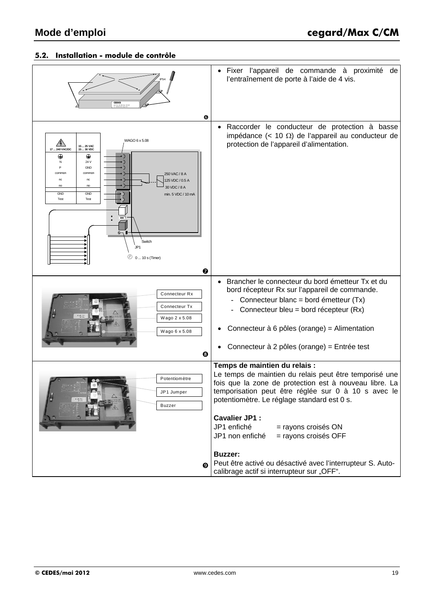### **5.2. Installation - module de contrôle**

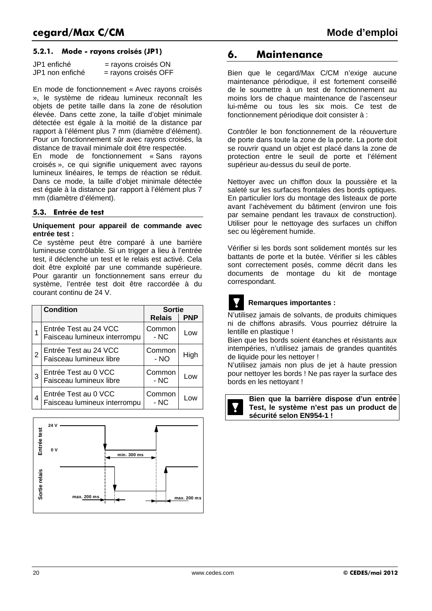#### **5.2.1. Mode - rayons croisés (JP1)**

| JP1 enfiché     | = rayons croisés ON  |
|-----------------|----------------------|
| JP1 non enfiché | = rayons croisés OFF |

En mode de fonctionnement « Avec rayons croisés », le système de rideau lumineux reconnaît les objets de petite taille dans la zone de résolution élevée. Dans cette zone, la taille d'objet minimale détectée est égale à la moitié de la distance par rapport à l'élément plus 7 mm (diamètre d'élément). Pour un fonctionnement sûr avec rayons croisés, la distance de travail minimale doit être respectée.

En mode de fonctionnement « Sans rayons croisés », ce qui signifie uniquement avec rayons lumineux linéaires, le temps de réaction se réduit. Dans ce mode, la taille d'objet minimale détectée est égale à la distance par rapport à l'élément plus 7 mm (diamètre d'élément).

#### **5.3. Entrée de test**

#### **Uniquement pour appareil de commande avec entrée test :**

Ce système peut être comparé à une barrière lumineuse contrôlable. Si un trigger a lieu à l'entrée test, il déclenche un test et le relais est activé. Cela doit être exploité par une commande supérieure. Pour garantir un fonctionnement sans erreur du système, l'entrée test doit être raccordée à du courant continu de 24 V.

|   | <b>Condition</b>                                      | <b>Sortie</b>    |            |  |
|---|-------------------------------------------------------|------------------|------------|--|
|   |                                                       | <b>Relais</b>    | <b>PNP</b> |  |
|   | Entrée Test au 24 VCC<br>Faisceau lumineux interrompu | Common<br>- NC   | Low        |  |
| 2 | Entrée Test au 24 VCC<br>Faisceau lumineux libre      | Common<br>$- NO$ | High       |  |
| 3 | Entrée Test au 0 VCC<br>Faisceau lumineux libre       | Common<br>- NC   | Low        |  |
| 4 | Entrée Test au 0 VCC<br>Faisceau lumineux interrompu  | Common<br>- NC   | Low        |  |



### **6. Maintenance**

Bien que le cegard/Max C/CM n'exige aucune maintenance périodique, il est fortement conseillé de le soumettre à un test de fonctionnement au moins lors de chaque maintenance de l'ascenseur lui-même ou tous les six mois. Ce test de fonctionnement périodique doit consister à :

Contrôler le bon fonctionnement de la réouverture de porte dans toute la zone de la porte. La porte doit se rouvrir quand un objet est placé dans la zone de protection entre le seuil de porte et l'élément supérieur au-dessus du seuil de porte.

Nettoyer avec un chiffon doux la poussière et la saleté sur les surfaces frontales des bords optiques. En particulier lors du montage des listeaux de porte avant l'achèvement du bâtiment (environ une fois par semaine pendant les travaux de construction). Utiliser pour le nettoyage des surfaces un chiffon sec ou légèrement humide.

Vérifier si les bords sont solidement montés sur les battants de porte et la butée. Vérifier si les câbles sont correctement posés, comme décrit dans les documents de montage du kit de montage correspondant.



#### **Remarques importantes :**

N'utilisez jamais de solvants, de produits chimiques ni de chiffons abrasifs. Vous pourriez détruire la lentille en plastique !

Bien que les bords soient étanches et résistants aux intempéries, n'utilisez jamais de grandes quantités de liquide pour les nettoyer !

N'utilisez jamais non plus de jet à haute pression pour nettoyer les bords ! Ne pas rayer la surface des bords en les nettoyant !



**Bien que la barrière dispose d'un entrée Test, le système n'est pas un product de sécurité selon EN954-1 !**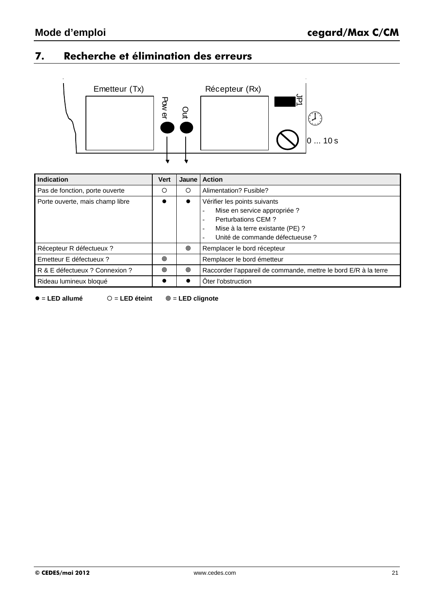### **7. Recherche et élimination des erreurs**



| Indication                      | <b>Vert</b> | Jaune I | <b>Action</b>                                                                                                                                                   |
|---------------------------------|-------------|---------|-----------------------------------------------------------------------------------------------------------------------------------------------------------------|
| Pas de fonction, porte ouverte  | O           | O       | Alimentation? Fusible?                                                                                                                                          |
| Porte ouverte, mais champ libre |             |         | Vérifier les points suivants<br>Mise en service appropriée ?<br>Perturbations CEM ?<br>Mise à la terre existante (PE) ?<br>Unité de commande défectueuse ?<br>۰ |
| Récepteur R défectueux ?        |             | ◉       | Remplacer le bord récepteur                                                                                                                                     |
| Emetteur E défectueux ?         | ◎           |         | Remplacer le bord émetteur                                                                                                                                      |
| R & E défectueux ? Connexion ?  | ◉           | ◉       | Raccorder l'appareil de commande, mettre le bord E/R à la terre                                                                                                 |
| Rideau lumineux bloqué          |             |         | Oter l'obstruction                                                                                                                                              |

= **LED allumé**  = **LED éteint** = **LED clignote**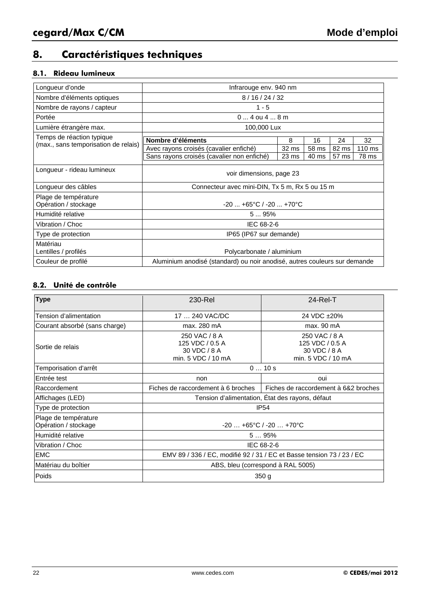### **8. Caractéristiques techniques**

### **8.1. Rideau lumineux**

| Longueur d'onde                                               | Infrarouge env. 940 nm                                                    |       |       |       |                  |  |  |  |
|---------------------------------------------------------------|---------------------------------------------------------------------------|-------|-------|-------|------------------|--|--|--|
| Nombre d'éléments optiques                                    | 8/16/24/32                                                                |       |       |       |                  |  |  |  |
| Nombre de rayons / capteur                                    | $1 - 5$                                                                   |       |       |       |                  |  |  |  |
| Portée                                                        | $04$ ou $48$ m                                                            |       |       |       |                  |  |  |  |
| Lumière étrangère max.                                        | 100,000 Lux                                                               |       |       |       |                  |  |  |  |
| Temps de réaction typique                                     | Nombre d'éléments                                                         | 8     | 16    | 24    | 32               |  |  |  |
| (max., sans temporisation de relais)                          | Avec rayons croisés (cavalier enfiché)                                    | 32 ms | 58 ms | 82 ms | $110 \text{ ms}$ |  |  |  |
|                                                               |                                                                           |       |       |       |                  |  |  |  |
|                                                               | Sans rayons croisés (cavalier non enfiché)                                | 23 ms | 40 ms | 57 ms | 78 ms            |  |  |  |
| Longueur - rideau lumineux                                    | voir dimensions, page 23                                                  |       |       |       |                  |  |  |  |
| Longueur des câbles                                           | Connecteur avec mini-DIN, Tx 5 m, Rx 5 ou 15 m                            |       |       |       |                  |  |  |  |
| Plage de température<br>Opération / stockage                  | $-20$ $+65^{\circ}$ C / $-20$ $+70^{\circ}$ C                             |       |       |       |                  |  |  |  |
| Humidité relative                                             | 595%                                                                      |       |       |       |                  |  |  |  |
| Vibration / Choc                                              | IEC 68-2-6                                                                |       |       |       |                  |  |  |  |
| Type de protection                                            | IP65 (IP67 sur demande)                                                   |       |       |       |                  |  |  |  |
| Matériau<br>Lentilles / profilés<br>Polycarbonate / aluminium |                                                                           |       |       |       |                  |  |  |  |
| Couleur de profilé                                            | Aluminium anodisé (standard) ou noir anodisé, autres couleurs sur demande |       |       |       |                  |  |  |  |

### **8.2. Unité de contrôle**

| <b>Type</b>                                  | 230-Rel                                                                | $24$ -Rel-T                                                            |  |  |  |
|----------------------------------------------|------------------------------------------------------------------------|------------------------------------------------------------------------|--|--|--|
| Tension d'alimentation                       | 17  240 VAC/DC                                                         | 24 VDC ±20%                                                            |  |  |  |
| Courant absorbé (sans charge)                | max. 280 mA                                                            | max. 90 mA                                                             |  |  |  |
| Sortie de relais                             | 250 VAC / 8 A<br>125 VDC / 0.5 A<br>30 VDC / 8 A<br>min. 5 VDC / 10 mA | 250 VAC / 8 A<br>125 VDC / 0.5 A<br>30 VDC / 8 A<br>min. 5 VDC / 10 mA |  |  |  |
| Temporisation d'arrêt                        | 010s                                                                   |                                                                        |  |  |  |
| <b>Entrée test</b>                           | non                                                                    | oui                                                                    |  |  |  |
| Raccordement                                 | Fiches de raccordement à 6 broches                                     | Fiches de raccordement à 6&2 broches                                   |  |  |  |
| Affichages (LED)                             | Tension d'alimentation, État des rayons, défaut                        |                                                                        |  |  |  |
| Type de protection                           | <b>IP54</b>                                                            |                                                                        |  |  |  |
| Plage de température<br>Opération / stockage | $-20+65^{\circ}C/ -20+70^{\circ}C$                                     |                                                                        |  |  |  |
| Humidité relative                            | 595%                                                                   |                                                                        |  |  |  |
| Vibration / Choc                             | IEC 68-2-6                                                             |                                                                        |  |  |  |
| <b>EMC</b>                                   |                                                                        | EMV 89 / 336 / EC, modifié 92 / 31 / EC et Basse tension 73 / 23 / EC  |  |  |  |
| Matériau du boîtier                          | ABS, bleu (correspond à RAL 5005)                                      |                                                                        |  |  |  |
| Poids                                        | 350 <sub>g</sub>                                                       |                                                                        |  |  |  |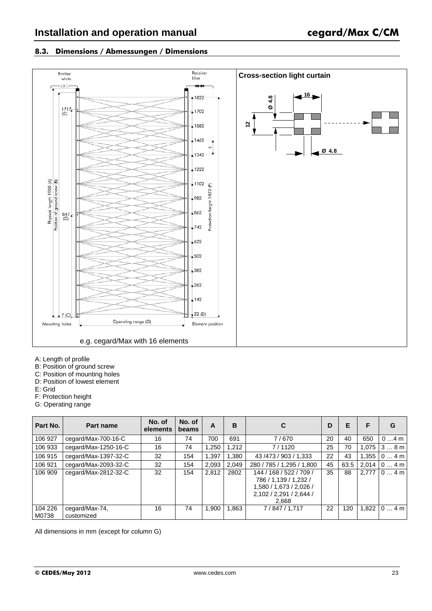#### **8.3. Dimensions / Abmessungen / Dimensions**



- A: Length of profile
- B: Position of ground screw
- C: Position of mounting holes
- D: Position of lowest element
- E: Grid
- F: Protection height
- G: Operating range

| Part No.         | Part name                    | No. of<br>elements | No. of<br>beams | A     | в     |                                                                                                                 | D  | F    |       | G                |
|------------------|------------------------------|--------------------|-----------------|-------|-------|-----------------------------------------------------------------------------------------------------------------|----|------|-------|------------------|
| 106 927          | cegard/Max-700-16-C          | 16                 | 74              | 700   | 691   | 7/670                                                                                                           | 20 | 40   | 650   | $04$ m           |
| 106 933          | cegard/Max-1250-16-C         | 16                 | 74              | 1.250 | 1,212 | 7/1120                                                                                                          | 25 | 70   |       | $1,075$ 3  8 m   |
| 106 915          | cegard/Max-1397-32-C         | 32                 | 154             | 1,397 | 1.380 | 43 / 473 / 903 / 1,333                                                                                          | 22 | 43   |       | $1,355$   0  4 m |
| 106 921          | cegard/Max-2093-32-C         | 32                 | 154             | 2,093 | 2,049 | 280 / 785 / 1,295 / 1,800                                                                                       | 45 | 63.5 |       | $2.014$ 0  4 m   |
| 106 909          | cegard/Max-2812-32-C         | 32                 | 154             | 2,812 | 2802  | 144 / 168 / 522 / 709 /<br>786 / 1,139 / 1,232 /<br>1,580 / 1,673 / 2,026 /<br>2,102 / 2,291 / 2,644 /<br>2,668 | 35 | 88   | 2.777 | 104m             |
| 104 226<br>M0738 | cegard/Max-74,<br>customized | 16                 | 74              | 1,900 | 1,863 | 7/847/1,717                                                                                                     | 22 | 120  |       | $1,822$   0  4 m |

All dimensions in mm (except for column G)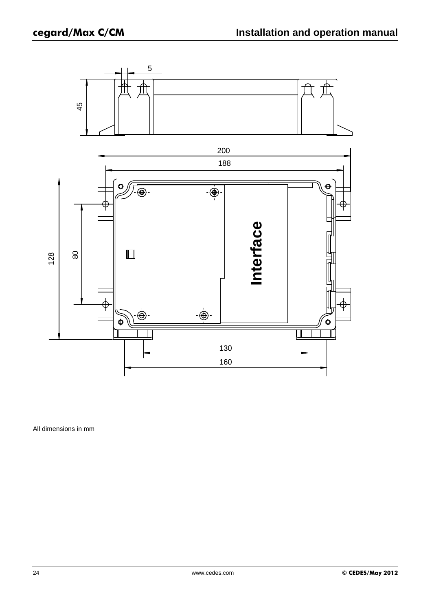

All dimensions in mm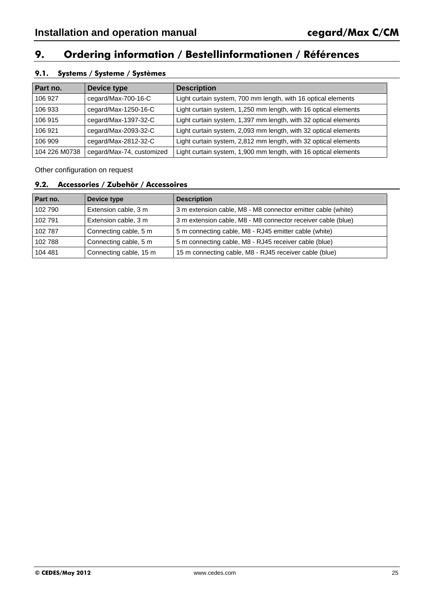### **9. Ordering information / Bestellinformationen / Références**

### **9.1. Systems / Systeme / Systèmes**

| Part no.      | Device type               | <b>Description</b>                                              |
|---------------|---------------------------|-----------------------------------------------------------------|
| 106 927       | cegard/Max-700-16-C       | Light curtain system, 700 mm length, with 16 optical elements   |
| 106 933       | cegard/Max-1250-16-C      | Light curtain system, 1,250 mm length, with 16 optical elements |
| 106 915       | cegard/Max-1397-32-C      | Light curtain system, 1,397 mm length, with 32 optical elements |
| 106 921       | cegard/Max-2093-32-C      | Light curtain system, 2,093 mm length, with 32 optical elements |
| 106 909       | cegard/Max-2812-32-C      | Light curtain system, 2,812 mm length, with 32 optical elements |
| 104 226 M0738 | cegard/Max-74, customized | Light curtain system, 1,900 mm length, with 16 optical elements |

Other configuration on request

#### **9.2. Accessories / Zubehör / Accessoires**

| Part no. | Device type            | <b>Description</b>                                           |
|----------|------------------------|--------------------------------------------------------------|
| 102 790  | Extension cable, 3 m   | 3 m extension cable, M8 - M8 connector emitter cable (white) |
| 102 791  | Extension cable, 3 m   | 3 m extension cable, M8 - M8 connector receiver cable (blue) |
| 102 787  | Connecting cable, 5 m  | 5 m connecting cable, M8 - RJ45 emitter cable (white)        |
| 102 788  | Connecting cable, 5 m  | 5 m connecting cable, M8 - RJ45 receiver cable (blue)        |
| 104 481  | Connecting cable, 15 m | 15 m connecting cable, M8 - RJ45 receiver cable (blue)       |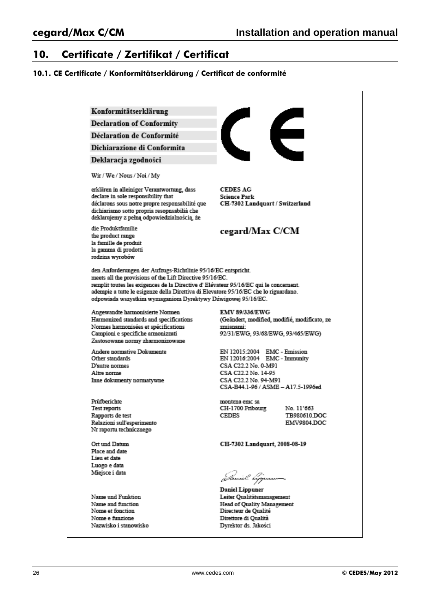### **10. Certificate / Zertifikat / Certificat**

#### **10.1. CE Certificate / Konformitätserklärung / Certificat de conformité**

Konformitätserklärung

**Declaration of Conformity** 

Déclaration de Conformité

Dichiarazione di Conformita

Deklaracja zgodności

Wir / We / Nous / Noi / My

erklären in alleiniger Verantwortung, dass declare in sole responsibility that déclarons sous notre propre responsabilité que dichiariamo sotto propria resopnsabilià che deklarujemy z pełną odpowiedzialnością, że

die Produktfamilie the product range la famille de produit la gamma di prodotti rodzina wyrobów

**CEDES AG Science Park** CH-7302 Landquart / Switzerland

### cegard/Max C/CM

den Anforderungen der Aufzugs-Richtlinie 95/16/EC entspricht. meets all the provisions of the Lift Directive 95/16/EC. remplit toutes les exigences de la Directive d' Elévateur 95/16/EC qui le concernent. adempie a tutte le esigenze della Direttiva di Elevatore 95/16/EC che lo riguardano. odpowiada wszystkim wymaganiom Dyrektywy Dźwigowej 95/16/EC.

Angewandte harmonisierte Normen Harmonized standards and specifications Normes harmonisées et spécifications Campioni e specifiche armonizzati Zastosowane normy zharmonizowane

Andere normative Dokumente Other standards D'autre normes Altre norme Inne dokumenty normatywne

Prüfberichte Test reports Rapports de test Relazioni sull'esperimento Nr raportu technicznego

Ort und Datum Place and date Lieu et date Luogo e data Miejsce i data

Name und Funktion Name and function Nome et fonction Nome e funzione Nazwisko i stanowisko EMV 89/336/EWG (Geändert, modified, modifié, modificato, ze zmianami: 92/31/EWG, 93/68/EWG, 93/465/EWG)

EN 12015:2004 EMC - Emission EN 12016:2004 EMC - Immunity CSA C22.2 No. 0-M91 CSA C22.2 No. 14-95 CSA C22.2 No. 94-M91 CSA-B44.1-96 / ASME - A17.5-1996ed

montena emc sa CH-1700 Fribourg **CEDES** 

No. 11'663 TB980610.DOC EMV9804.DOC

CH-7302 Landquart, 2008-08-19

**Daniel Lippuner** Leiter Qualitätsmanagement Head of Quality Management Directeur de Qualité Direttore di Qualità Dyrektor ds. Jakości